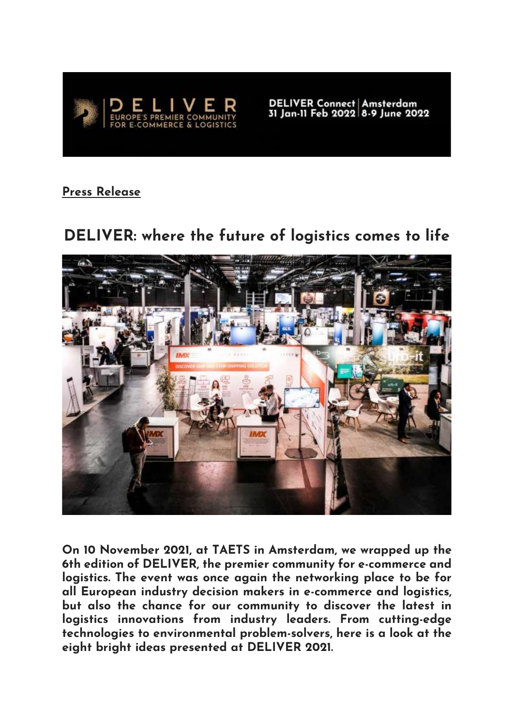

DELIVER Connect | Amsterdam<br>31 Jan-11 Feb 2022 | 8-9 June 2022

**Press Release**

## **DELIVER: where the future of logistics comes to life**



**On 10 November 2021, at TAETS in Amsterdam, we wrapped up the 6th edition of DELIVER, the premier community for e-commerce and logistics. The event was once again the networking place to be for all European industry decision makers in e-commerce and logistics, but also the chance for our community to discover the latest in logistics innovations from industry leaders. From cutting-edge technologies to environmental problem-solvers, here is a look at the eight bright ideas presented at DELIVER 2021.**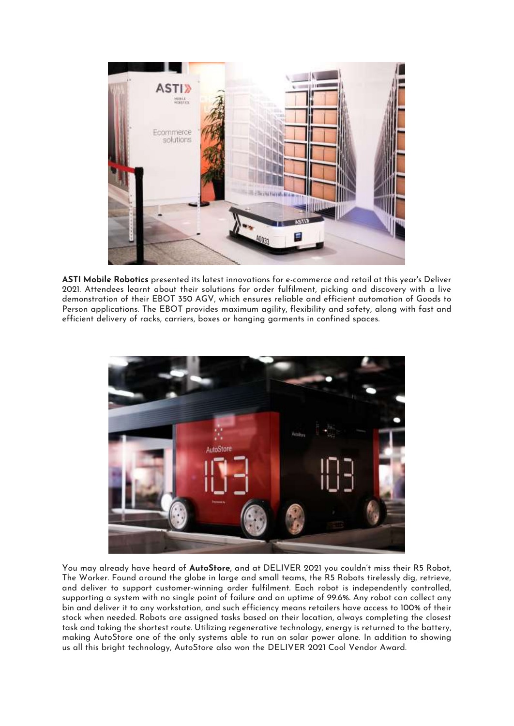

**ASTI Mobile Robotics** presented its latest innovations for e-commerce and retail at this year's Deliver 2021. Attendees learnt about their solutions for order fulfilment, picking and discovery with a live demonstration of their EBOT 350 AGV, which ensures reliable and efficient automation of Goods to Person applications. The EBOT provides maximum agility, flexibility and safety, along with fast and efficient delivery of racks, carriers, boxes or hanging garments in confined spaces.



You may already have heard of **AutoStore**, and at DELIVER 2021 you couldn't miss their R5 Robot, The Worker. Found around the globe in large and small teams, the R5 Robots tirelessly dig, retrieve, and deliver to support customer-winning order fulfilment. Each robot is independently controlled, supporting a system with no single point of failure and an uptime of 99.6%. Any robot can collect any bin and deliver it to any workstation, and such efficiency means retailers have access to 100% of their stock when needed. Robots are assigned tasks based on their location, always completing the closest task and taking the shortest route. Utilizing regenerative technology, energy is returned to the battery, making AutoStore one of the only systems able to run on solar power alone. In addition to showing us all this bright technology, AutoStore also won the DELIVER 2021 Cool Vendor Award.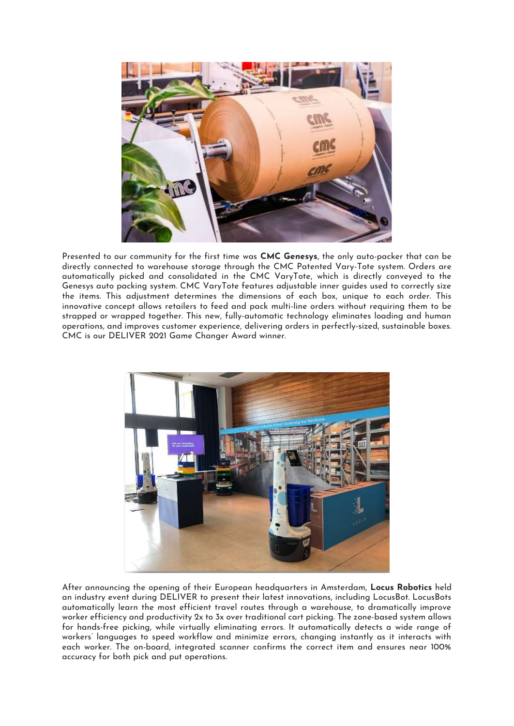

Presented to our community for the first time was **CMC Genesys**, the only auto-packer that can be directly connected to warehouse storage through the CMC Patented Vary-Tote system. Orders are automatically picked and consolidated in the CMC VaryTote, which is directly conveyed to the Genesys auto packing system. CMC VaryTote features adjustable inner guides used to correctly size the items. This adjustment determines the dimensions of each box, unique to each order. This innovative concept allows retailers to feed and pack multi-line orders without requiring them to be strapped or wrapped together. This new, fully-automatic technology eliminates loading and human operations, and improves customer experience, delivering orders in perfectly-sized, sustainable boxes. CMC is our DELIVER 2021 Game Changer Award winner.



After announcing the opening of their European headquarters in Amsterdam, **Locus Robotics** held an industry event during DELIVER to present their latest innovations, including LocusBot. LocusBots automatically learn the most efficient travel routes through a warehouse, to dramatically improve worker efficiency and productivity 2x to 3x over traditional cart picking. The zone-based system allows for hands-free picking, while virtually eliminating errors. It automatically detects a wide range of workers' languages to speed workflow and minimize errors, changing instantly as it interacts with each worker. The on-board, integrated scanner confirms the correct item and ensures near 100% accuracy for both pick and put operations.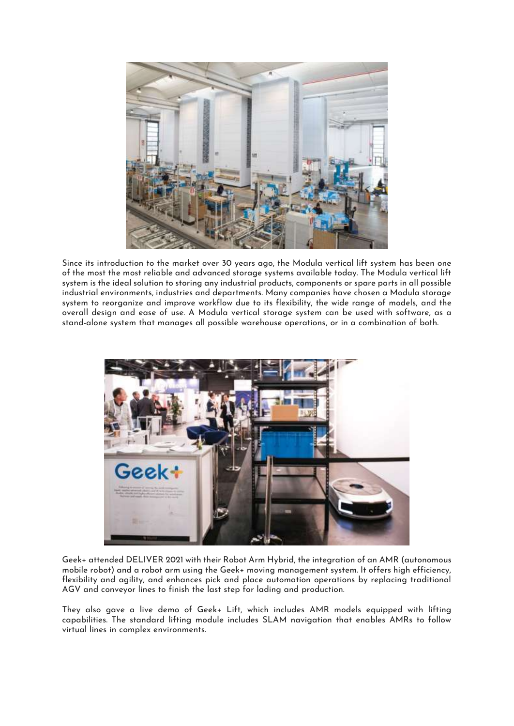

Since its introduction to the market over 30 years ago, the Modula vertical lift system has been one of the most the most reliable and advanced storage systems available today. The Modula vertical lift system is the ideal solution to storing any industrial products, components or spare parts in all possible industrial environments, industries and departments. Many companies have chosen a Modula storage system to reorganize and improve workflow due to its flexibility, the wide range of models, and the overall design and ease of use. A Modula vertical storage system can be used with software, as a stand-alone system that manages all possible warehouse operations, or in a combination of both.



Geek+ attended DELIVER 2021 with their Robot Arm Hybrid, the integration of an AMR (autonomous mobile robot) and a robot arm using the Geek+ moving management system. It offers high efficiency, flexibility and agility, and enhances pick and place automation operations by replacing traditional AGV and conveyor lines to finish the last step for lading and production.

They also gave a live demo of Geek+ Lift, which includes AMR models equipped with lifting capabilities. The standard lifting module includes SLAM navigation that enables AMRs to follow virtual lines in complex environments.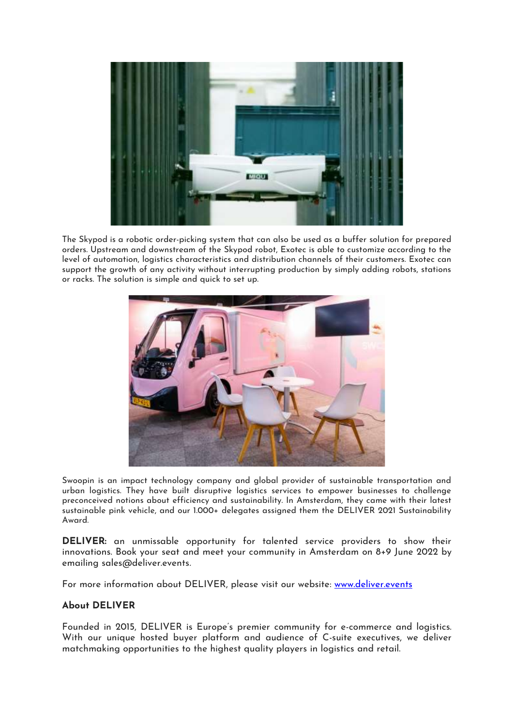

The Skypod is a robotic order-picking system that can also be used as a buffer solution for prepared orders. Upstream and downstream of the Skypod robot, Exotec is able to customize according to the level of automation, logistics characteristics and distribution channels of their customers. Exotec can support the growth of any activity without interrupting production by simply adding robots, stations or racks. The solution is simple and quick to set up.



Swoopin is an impact technology company and global provider of sustainable transportation and urban logistics. They have built disruptive logistics services to empower businesses to challenge preconceived notions about efficiency and sustainability. In Amsterdam, they came with their latest sustainable pink vehicle, and our 1.000+ delegates assigned them the DELIVER 2021 Sustainability Award.

**DELIVER:** an unmissable opportunity for talented service providers to show their innovations. Book your seat and meet your community in Amsterdam on 8+9 June 2022 by emailing sales@deliver.events.

For more information about DELIVER, please visit our website: [www.deliver.events](http://www.deliver.events/)

## **About DELIVER**

Founded in 2015, DELIVER is Europe's premier community for e-commerce and logistics. With our unique hosted buyer platform and audience of C-suite executives, we deliver matchmaking opportunities to the highest quality players in logistics and retail.